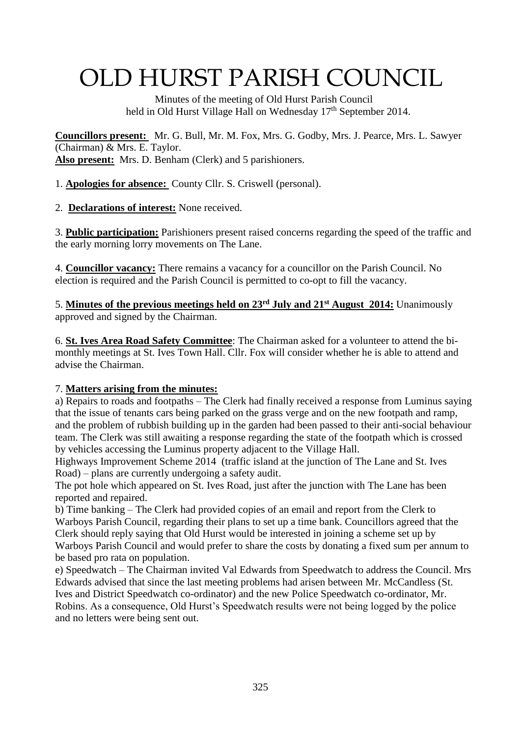# OLD HURST PARISH COUNCIL

 Minutes of the meeting of Old Hurst Parish Council held in Old Hurst Village Hall on Wednesday 17<sup>th</sup> September 2014.

**Councillors present:** Mr. G. Bull, Mr. M. Fox, Mrs. G. Godby, Mrs. J. Pearce, Mrs. L. Sawyer (Chairman) & Mrs. E. Taylor. **Also present:** Mrs. D. Benham (Clerk) and 5 parishioners.

1. **Apologies for absence:** County Cllr. S. Criswell (personal).

2. **Declarations of interest:** None received.

3. **Public participation:** Parishioners present raised concerns regarding the speed of the traffic and the early morning lorry movements on The Lane.

4. **Councillor vacancy:** There remains a vacancy for a councillor on the Parish Council. No election is required and the Parish Council is permitted to co-opt to fill the vacancy.

5. **Minutes of the previous meetings held on 23rd July and 21st August 2014:** Unanimously approved and signed by the Chairman.

6. **St. Ives Area Road Safety Committee**: The Chairman asked for a volunteer to attend the bimonthly meetings at St. Ives Town Hall. Cllr. Fox will consider whether he is able to attend and advise the Chairman.

## 7. **Matters arising from the minutes:**

a) Repairs to roads and footpaths – The Clerk had finally received a response from Luminus saying that the issue of tenants cars being parked on the grass verge and on the new footpath and ramp, and the problem of rubbish building up in the garden had been passed to their anti-social behaviour team. The Clerk was still awaiting a response regarding the state of the footpath which is crossed by vehicles accessing the Luminus property adjacent to the Village Hall.

Highways Improvement Scheme 2014 (traffic island at the junction of The Lane and St. Ives Road) – plans are currently undergoing a safety audit.

The pot hole which appeared on St. Ives Road, just after the junction with The Lane has been reported and repaired.

b) Time banking – The Clerk had provided copies of an email and report from the Clerk to Warboys Parish Council, regarding their plans to set up a time bank. Councillors agreed that the Clerk should reply saying that Old Hurst would be interested in joining a scheme set up by Warboys Parish Council and would prefer to share the costs by donating a fixed sum per annum to be based pro rata on population.

e) Speedwatch – The Chairman invited Val Edwards from Speedwatch to address the Council. Mrs Edwards advised that since the last meeting problems had arisen between Mr. McCandless (St. Ives and District Speedwatch co-ordinator) and the new Police Speedwatch co-ordinator, Mr. Robins. As a consequence, Old Hurst's Speedwatch results were not being logged by the police and no letters were being sent out.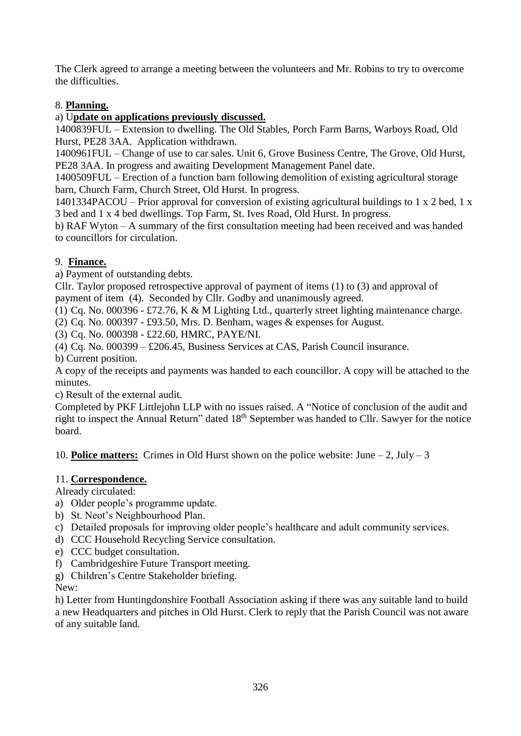The Clerk agreed to arrange a meeting between the volunteers and Mr. Robins to try to overcome the difficulties.

## 8. **Planning.**

## a) U**pdate on applications previously discussed.**

1400839FUL – Extension to dwelling. The Old Stables, Porch Farm Barns, Warboys Road, Old Hurst, PE28 3AA. Application withdrawn.

1400961FUL – Change of use to car sales. Unit 6, Grove Business Centre, The Grove, Old Hurst, PE28 3AA. In progress and awaiting Development Management Panel date.

1400509FUL – Erection of a function barn following demolition of existing agricultural storage barn, Church Farm, Church Street, Old Hurst. In progress.

1401334PACOU – Prior approval for conversion of existing agricultural buildings to 1 x 2 bed, 1 x 3 bed and 1 x 4 bed dwellings. Top Farm, St. Ives Road, Old Hurst. In progress.

b) RAF Wyton – A summary of the first consultation meeting had been received and was handed to councillors for circulation.

## 9. **Finance.**

a) Payment of outstanding debts.

Cllr. Taylor proposed retrospective approval of payment of items (1) to (3) and approval of payment of item (4). Seconded by Cllr. Godby and unanimously agreed.

(1) Cq. No. 000396 - £72.76, K & M Lighting Ltd., quarterly street lighting maintenance charge.

(2) Cq. No. 000397 - £93.50, Mrs. D. Benham, wages & expenses for August.

(3) Cq. No. 000398 - £22.60, HMRC, PAYE/NI.

(4) Cq. No. 000399 – £206.45, Business Services at CAS, Parish Council insurance.

b) Current position.

A copy of the receipts and payments was handed to each councillor. A copy will be attached to the minutes.

c) Result of the external audit.

Completed by PKF Littlejohn LLP with no issues raised. A "Notice of conclusion of the audit and right to inspect the Annual Return" dated 18<sup>th</sup> September was handed to Cllr. Sawyer for the notice board.

10. **Police matters:** Crimes in Old Hurst shown on the police website: June – 2, July – 3

## 11. **Correspondence.**

Already circulated:

- a) Older people's programme update.
- b) St. Neot's Neighbourhood Plan.
- c) Detailed proposals for improving older people's healthcare and adult community services.
- d) CCC Household Recycling Service consultation.
- e) CCC budget consultation.
- f) Cambridgeshire Future Transport meeting.
- g) Children's Centre Stakeholder briefing.

New:

h) Letter from Huntingdonshire Football Association asking if there was any suitable land to build a new Headquarters and pitches in Old Hurst. Clerk to reply that the Parish Council was not aware of any suitable land.